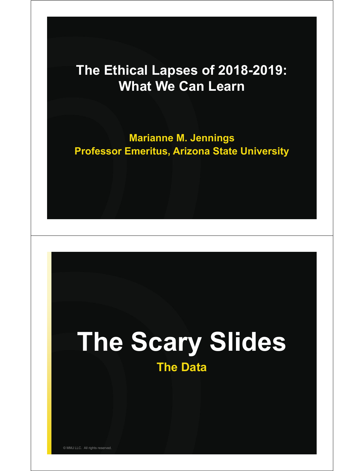#### **The Ethical Lapses of 2018-2019: What We Can Learn**

**Marianne M. Jennings Professor Emeritus, Arizona State University**

# **The Scary Slides The Data**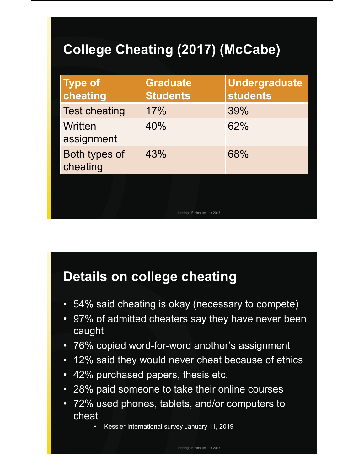### **College Cheating (2017) (McCabe)**

| <b>Type of</b><br>cheating | <b>Graduate</b><br><b>Students</b> | <b>Undergraduate</b><br><b>students</b> |
|----------------------------|------------------------------------|-----------------------------------------|
| <b>Test cheating</b>       | 17%                                | 39%                                     |
| Written<br>assignment      | 40%                                | 62%                                     |
| Both types of<br>cheating  | 43%                                | 68%                                     |
|                            | Jennings Ethical Issues 2017       |                                         |

#### **Details on college cheating**

- 54% said cheating is okay (necessary to compete)
- 97% of admitted cheaters say they have never been caught
- 76% copied word-for-word another's assignment
- 12% said they would never cheat because of ethics
- 42% purchased papers, thesis etc.
- 28% paid someone to take their online courses
- 72% used phones, tablets, and/or computers to cheat
	- Kessler International survey January 11, 2019

Jennings Ethical Issues 2017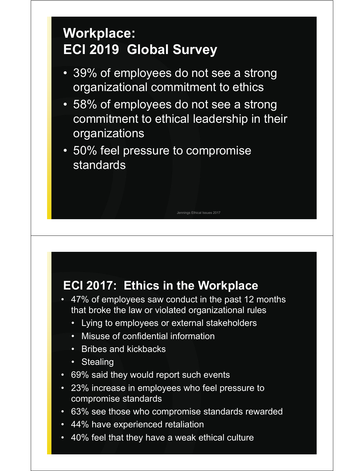### **Workplace: ECI 2019 Global Survey**

- 39% of employees do not see a strong organizational commitment to ethics
- 58% of employees do not see a strong commitment to ethical leadership in their organizations

Jennings Ethical Issues 2017

• 50% feel pressure to compromise standards

#### **ECI 2017: Ethics in the Workplace**

- 47% of employees saw conduct in the past 12 months that broke the law or violated organizational rules
	- Lying to employees or external stakeholders
	- **Misuse of confidential information**
	- Bribes and kickbacks
	- Stealing
- 69% said they would report such events
- 23% increase in employees who feel pressure to compromise standards
- 63% see those who compromise standards rewarded
- 44% have experienced retaliation
- 40% feel that they have a weak ethical culture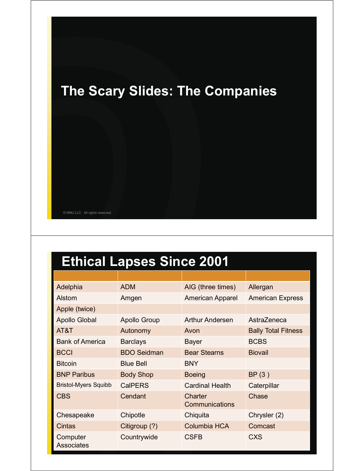

### **Ethical Lapses Since 2001**

| Adelphia                      | <b>ADM</b>          | AIG (three times)         | Allergan                   |
|-------------------------------|---------------------|---------------------------|----------------------------|
| Alstom                        | Amgen               | <b>American Apparel</b>   | <b>American Express</b>    |
| Apple (twice)                 |                     |                           |                            |
| Apollo Global                 | <b>Apollo Group</b> | <b>Arthur Andersen</b>    | AstraZeneca                |
| AT&T                          | Autonomy            | Avon                      | <b>Bally Total Fitness</b> |
| <b>Bank of America</b>        | <b>Barclays</b>     | <b>Bayer</b>              | <b>BCBS</b>                |
| <b>BCCI</b>                   | <b>BDO Seidman</b>  | <b>Bear Stearns</b>       | <b>Biovail</b>             |
| <b>Bitcoin</b>                | <b>Blue Bell</b>    | <b>BNY</b>                |                            |
| <b>BNP Paribus</b>            | <b>Body Shop</b>    | <b>Boeing</b>             | BP(3)                      |
| <b>Bristol-Myers Squibb</b>   | <b>CalPERS</b>      | <b>Cardinal Health</b>    | Caterpillar                |
| <b>CBS</b>                    | Cendant             | Charter<br>Communications | Chase                      |
| Chesapeake                    | Chipotle            | Chiquita                  | Chrysler (2)               |
| <b>Cintas</b>                 | Citigroup (?)       | <b>Columbia HCA</b>       | Comcast                    |
| Computer<br><b>Associates</b> | Countrywide         | CSFB                      | <b>CXS</b>                 |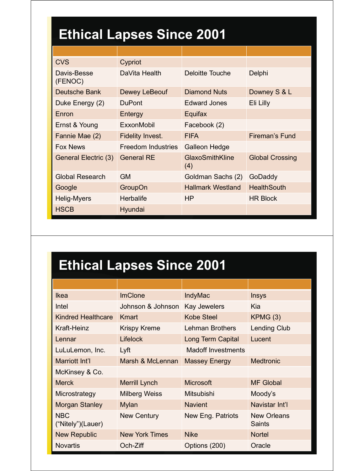## **Ethical Lapses Since 2001**

| <b>CVS</b>             | Cypriot                   |                          |                        |
|------------------------|---------------------------|--------------------------|------------------------|
| Davis-Besse<br>(FENOC) | DaVita Health             | <b>Deloitte Touche</b>   | Delphi                 |
| <b>Deutsche Bank</b>   | <b>Dewey LeBeouf</b>      | <b>Diamond Nuts</b>      | Downey S & L           |
| Duke Energy (2)        | <b>DuPont</b>             | <b>Edward Jones</b>      | Eli Lilly              |
| Enron                  | Entergy                   | Equifax                  |                        |
| Ernst & Young          | ExxonMobil                | Facebook (2)             |                        |
| Fannie Mae (2)         | <b>Fidelity Invest.</b>   | <b>FIFA</b>              | <b>Fireman's Fund</b>  |
| <b>Fox News</b>        | <b>Freedom Industries</b> | <b>Galleon Hedge</b>     |                        |
| General Electric (3)   | <b>General RE</b>         | GlaxoSmithKline<br>(4)   | <b>Global Crossing</b> |
| <b>Global Research</b> | <b>GM</b>                 | Goldman Sachs (2)        | GoDaddy                |
| Google                 | GroupOn                   | <b>Hallmark Westland</b> | <b>HealthSouth</b>     |
| Helig-Myers            | <b>Herbalife</b>          | HP                       | <b>HR Block</b>        |
| <b>HSCB</b>            | Hyundai                   |                          |                        |

### **Ethical Lapses Since 2001**

| <b>Ikea</b>                     | <b>ImClone</b>        | <b>IndyMac</b>            | <b>Insys</b>                        |
|---------------------------------|-----------------------|---------------------------|-------------------------------------|
| Intel                           | Johnson & Johnson     | <b>Kay Jewelers</b>       | Kia                                 |
| <b>Kindred Healthcare</b>       | Kmart                 | Kobe Steel                | KPMG(3)                             |
| Kraft-Heinz                     | <b>Krispy Kreme</b>   | <b>Lehman Brothers</b>    | <b>Lending Club</b>                 |
| Lennar                          | <b>Lifelock</b>       | Long Term Capital         | Lucent                              |
| LuLuLemon, Inc.                 | Lyft                  | <b>Madoff Investments</b> |                                     |
| Marriott Int'l                  | Marsh & McLennan      | <b>Massey Energy</b>      | <b>Medtronic</b>                    |
| McKinsey & Co.                  |                       |                           |                                     |
| <b>Merck</b>                    | <b>Merrill Lynch</b>  | <b>Microsoft</b>          | <b>MF Global</b>                    |
| Microstrategy                   | <b>Milberg Weiss</b>  | <b>Mitsubishi</b>         | Moody's                             |
| <b>Morgan Stanley</b>           | <b>Mylan</b>          | <b>Navient</b>            | Navistar Int'l                      |
| <b>NBC</b><br>("Nitely")(Lauer) | <b>New Century</b>    | New Eng. Patriots         | <b>New Orleans</b><br><b>Saints</b> |
| <b>New Republic</b>             | <b>New York Times</b> | <b>Nike</b>               | <b>Nortel</b>                       |
| <b>Novartis</b>                 | Och-Ziff              | Options (200)             | Oracle                              |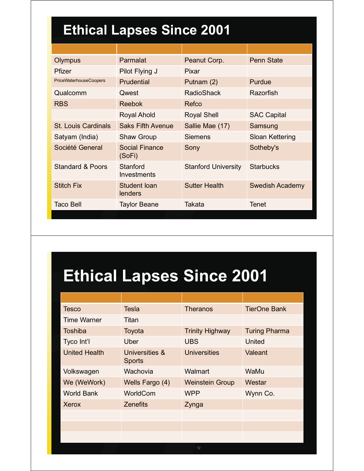### **Ethical Lapses Since 2001**

| Olympus                       | Parmalat                       | Peanut Corp.               | <b>Penn State</b>      |
|-------------------------------|--------------------------------|----------------------------|------------------------|
| <b>Pfizer</b>                 | Pilot Flying J                 | <b>Pixar</b>               |                        |
| <b>PriceWaterhouseCoopers</b> | <b>Prudential</b>              | Putnam (2)                 | Purdue                 |
| Qualcomm                      | Qwest                          | <b>RadioShack</b>          | Razorfish              |
| <b>RBS</b>                    | <b>Reebok</b>                  | Refco                      |                        |
|                               | <b>Royal Ahold</b>             | <b>Royal Shell</b>         | <b>SAC Capital</b>     |
| <b>St. Louis Cardinals</b>    | <b>Saks Fifth Avenue</b>       | Sallie Mae (17)            | Samsung                |
| Satyam (India)                | <b>Shaw Group</b>              | <b>Siemens</b>             | Sloan Kettering        |
| Société General               | Social Finance<br>(SoFi)       | Sony                       | Sotheby's              |
| <b>Standard &amp; Poors</b>   | Stanford<br>Investments        | <b>Stanford University</b> | <b>Starbucks</b>       |
| <b>Stitch Fix</b>             | Student Ioan<br><b>lenders</b> | <b>Sutter Health</b>       | <b>Swedish Academy</b> |
| <b>Taco Bell</b>              | Taylor Beane                   | <b>Takata</b>              | <b>Tenet</b>           |

# **Ethical Lapses Since 2001**

| <b>Tesco</b>         | <b>Tesla</b>                    | <b>Theranos</b>        | <b>TierOne Bank</b>  |
|----------------------|---------------------------------|------------------------|----------------------|
| <b>Time Warner</b>   | Titan                           |                        |                      |
| <b>Toshiba</b>       | Toyota                          | <b>Trinity Highway</b> | <b>Turing Pharma</b> |
| Tyco Int'l           | Uber                            | <b>UBS</b>             | United               |
| <b>United Health</b> | Universities &<br><b>Sports</b> | <b>Universities</b>    | Valeant              |
| Volkswagen           | Wachovia                        | Walmart                | WaMu                 |
| We (WeWork)          | Wells Fargo (4)                 | <b>Weinstein Group</b> | Westar               |
| <b>World Bank</b>    | WorldCom                        | <b>WPP</b>             | Wynn Co.             |
| Xerox                | <b>Zenefits</b>                 | Zynga                  |                      |
|                      |                                 |                        |                      |
|                      |                                 |                        |                      |
|                      |                                 |                        |                      |
|                      |                                 | 12                     |                      |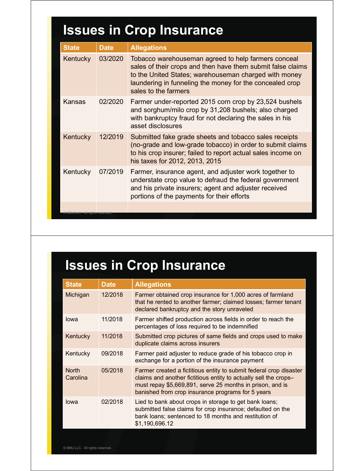## **Issues in Crop Insurance**

| <b>State</b>                                  | <b>Date</b> | <b>Allegations</b>                                                                                                                                                                                                                                              |
|-----------------------------------------------|-------------|-----------------------------------------------------------------------------------------------------------------------------------------------------------------------------------------------------------------------------------------------------------------|
| Kentucky                                      | 03/2020     | Tobacco warehouseman agreed to help farmers conceal<br>sales of their crops and then have them submit false claims<br>to the United States; warehouseman charged with money<br>laundering in funneling the money for the concealed crop<br>sales to the farmers |
| Kansas                                        | 02/2020     | Farmer under-reported 2015 corn crop by 23,524 bushels<br>and sorghum/milo crop by 31,208 bushels; also charged<br>with bankruptcy fraud for not declaring the sales in his<br>asset disclosures                                                                |
| Kentucky                                      | 12/2019     | Submitted fake grade sheets and tobacco sales receipts<br>(no-grade and low-grade tobacco) in order to submit claims<br>to his crop insurer; failed to report actual sales income on<br>his taxes for 2012, 2013, 2015                                          |
| Kentucky                                      | 07/2019     | Farmer, insurance agent, and adjuster work together to<br>understate crop value to defraud the federal government<br>and his private insurers; agent and adjuster received<br>portions of the payments for their efforts                                        |
| ) Mivi <del>j LLC. Ali n</del> grits reserved |             |                                                                                                                                                                                                                                                                 |

### **Issues in Crop Insurance**

| <b>State</b>             | <b>Date</b> | <b>Allegations</b>                                                                                                                                                                                                                                       |
|--------------------------|-------------|----------------------------------------------------------------------------------------------------------------------------------------------------------------------------------------------------------------------------------------------------------|
| Michigan                 | 12/2018     | Farmer obtained crop insurance for 1,000 acres of farmland<br>that he rented to another farmer; claimed losses; farmer tenant<br>declared bankruptcy and the story unraveled                                                                             |
| lowa                     | 11/2018     | Farmer shifted production across fields in order to reach the<br>percentages of loss required to be indemnified                                                                                                                                          |
| Kentucky                 | 11/2018     | Submitted crop pictures of same fields and crops used to make<br>duplicate claims across insurers                                                                                                                                                        |
| Kentucky                 | 09/2018     | Farmer paid adjuster to reduce grade of his tobacco crop in<br>exchange for a portion of the insurance payment                                                                                                                                           |
| <b>North</b><br>Carolina | 05/2018     | Farmer created a fictitious entity to submit federal crop disaster<br>claims and another fictitious entity to actually sell the crops-<br>must repay \$5,669,891, serve 25 months in prison, and is<br>banished from crop insurance programs for 5 years |
| lowa                     | 02/2018     | Lied to bank about crops in storage to get bank loans;<br>submitted false claims for crop insurance; defaulted on the<br>bank loans; sentenced to 18 months and restitution of<br>\$1,190,696.12                                                         |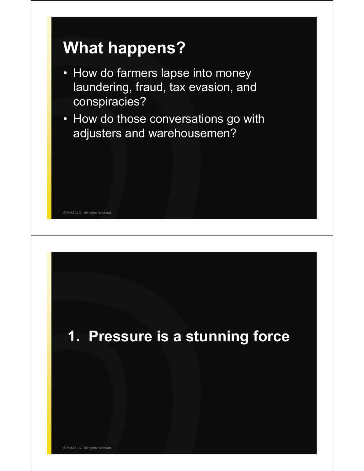# **What happens?**

- How do farmers lapse into money laundering, fraud, tax evasion, and conspiracies?
- How do those conversations go with adjusters and warehousemen?

**1. Pressure is a stunning force**

© MMJ LLC. All rights reserved.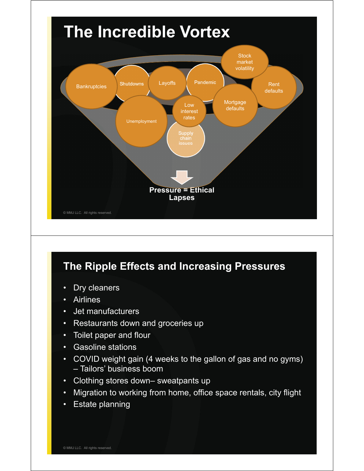

#### **The Ripple Effects and Increasing Pressures**

- Dry cleaners
- **Airlines**
- Jet manufacturers
- Restaurants down and groceries up
- Toilet paper and flour
- Gasoline stations
- COVID weight gain (4 weeks to the gallon of gas and no gyms) – Tailors' business boom
- Clothing stores down– sweatpants up
- Migration to working from home, office space rentals, city flight
- Estate planning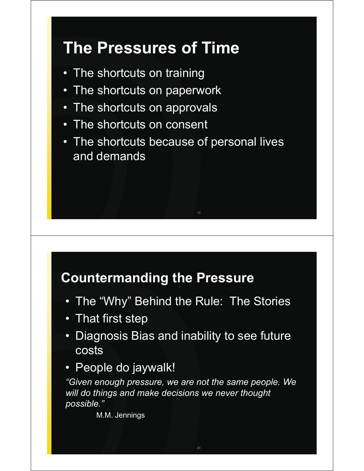## **The Pressures of Time**

- The shortcuts on training
- The shortcuts on paperwork
- The shortcuts on approvals
- The shortcuts on consent
- The shortcuts because of personal lives and demands

#### **Countermanding the Pressure**

- The "Why" Behind the Rule: The Stories
- That first step
- Diagnosis Bias and inability to see future costs
- People do jaywalk!

*"Given enough pressure, we are not the same people. We will do things and make decisions we never thought possible."*

M.M. Jennings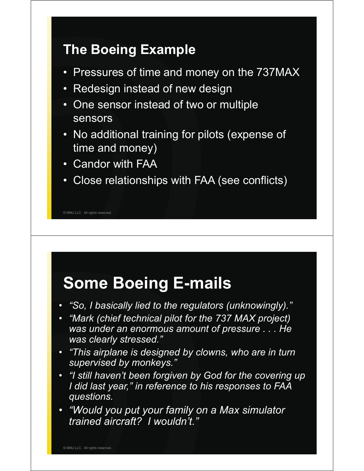#### **The Boeing Example**

- Pressures of time and money on the 737MAX
- Redesign instead of new design
- One sensor instead of two or multiple sensors
- No additional training for pilots (expense of time and money)
- Candor with FAA
- Close relationships with FAA (see conflicts)

© MMJ LLC. All rights reserved.

## **Some Boeing E-mails**

- *"So, I basically lied to the regulators (unknowingly)."*
- *"Mark (chief technical pilot for the 737 MAX project) was under an enormous amount of pressure . . . He was clearly stressed."*
- *"This airplane is designed by clowns, who are in turn supervised by monkeys."*
- *"I still haven't been forgiven by God for the covering up I did last year," in reference to his responses to FAA questions.*
- *"Would you put your family on a Max simulator trained aircraft? I wouldn't."*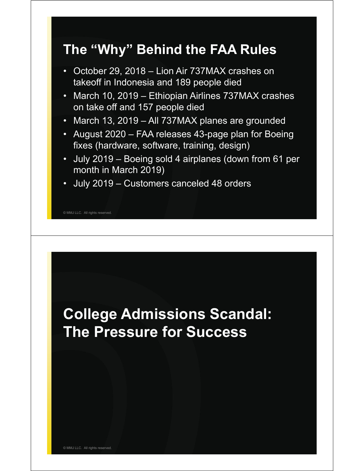#### **The "Why" Behind the FAA Rules**

- October 29, 2018 Lion Air 737MAX crashes on takeoff in Indonesia and 189 people died
- March 10, 2019 Ethiopian Airlines 737MAX crashes on take off and 157 people died
- March 13, 2019 All 737MAX planes are grounded
- August 2020 FAA releases 43-page plan for Boeing fixes (hardware, software, training, design)
- July 2019 Boeing sold 4 airplanes (down from 61 per month in March 2019)
- July 2019 Customers canceled 48 orders

© MMJ LLC. All rights reserved.

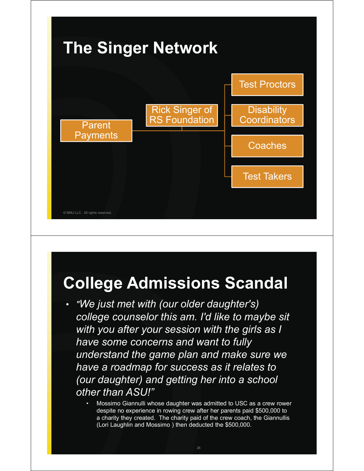

## **College Admissions Scandal**

- *"We just met with (our older daughter's) college counselor this am. I'd like to maybe sit with you after your session with the girls as I have some concerns and want to fully understand the game plan and make sure we have a roadmap for success as it relates to (our daughter) and getting her into a school other than ASU!"*
	- Mossimo Giannulli whose daughter was admitted to USC as a crew rower despite no experience in rowing crew after her parents paid \$500,000 to a charity they created. The charity paid of the crew coach, the Giannullis (Lori Laughlin and Mossimo ) then deducted the \$500,000.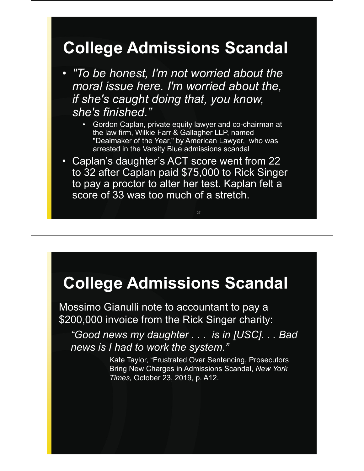## **College Admissions Scandal**

• *"To be honest, I'm not worried about the moral issue here. I'm worried about the, if she's caught doing that, you know, she's finished."*

- Gordon Caplan, private equity lawyer and co-chairman at the law firm, Wilkie Farr & Gallagher LLP, named "Dealmaker of the Year," by American Lawyer, who was arrested in the Varsity Blue admissions scandal
- Caplan's daughter's ACT score went from 22 to 32 after Caplan paid \$75,000 to Rick Singer to pay a proctor to alter her test. Kaplan felt a score of 33 was too much of a stretch.

27

## **College Admissions Scandal**

Mossimo Gianulli note to accountant to pay a \$200,000 invoice from the Rick Singer charity:

*"Good news my daughter . . . is in [USC]. . . Bad news is I had to work the system."*

> Kate Taylor, "Frustrated Over Sentencing, Prosecutors Bring New Charges in Admissions Scandal, *New York Times,* October 23, 2019, p. A12.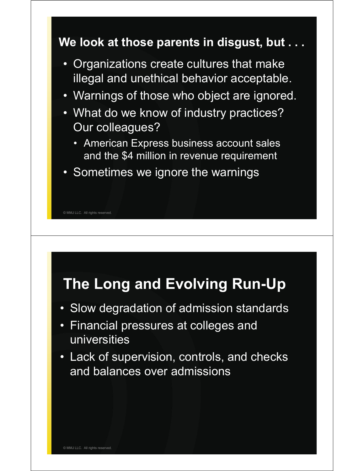

### **The Long and Evolving Run-Up**

- Slow degradation of admission standards
- Financial pressures at colleges and universities
- Lack of supervision, controls, and checks and balances over admissions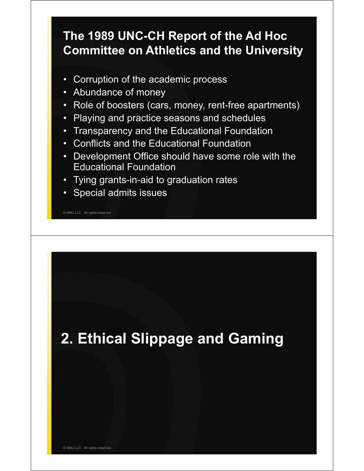#### **The 1989 UNC-CH Report of the Ad Hoc Committee on Athletics and the University**

- Corruption of the academic process
- Abundance of money
- Role of boosters (cars, money, rent-free apartments)
- Playing and practice seasons and schedules
- Transparency and the Educational Foundation
- Conflicts and the Educational Foundation
- Development Office should have some role with the Educational Foundation
- Tying grants-in-aid to graduation rates
- Special admits issues

© MMJ LLC. All rights reserved.

## **2. Ethical Slippage and Gaming**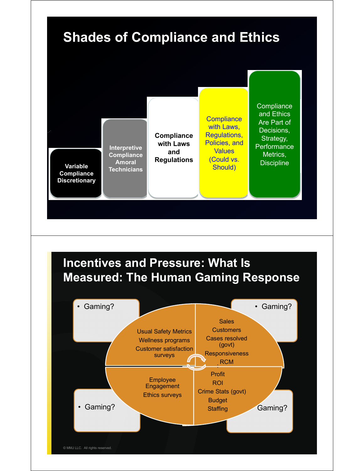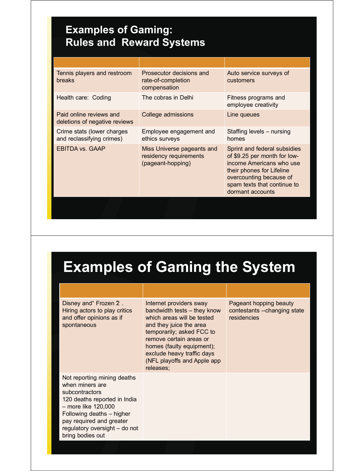#### **Examples of Gaming: Rules and Reward Systems**

| Prosecutor decisions and<br>rate-of-completion<br>compensation            | Auto service surveys of<br><b>customers</b>                                                                                                                                                         |
|---------------------------------------------------------------------------|-----------------------------------------------------------------------------------------------------------------------------------------------------------------------------------------------------|
| The cobras in Delhi                                                       | Fitness programs and<br>employee creativity                                                                                                                                                         |
| College admissions                                                        | Line queues                                                                                                                                                                                         |
| Employee engagement and<br>ethics surveys                                 | Staffing levels - nursing<br>homes                                                                                                                                                                  |
| Miss Universe pageants and<br>residency requirements<br>(pageant-hopping) | Sprint and federal subsidies<br>of \$9.25 per month for low-<br>income Americans who use<br>their phones for Lifeline<br>overcounting because of<br>spam texts that continue to<br>dormant accounts |
|                                                                           |                                                                                                                                                                                                     |

## **Examples of Gaming the System**

| Disney and "Frozen 2.<br>Hiring actors to play critics<br>and offer opinions as if<br>spontaneous                                                                                                                                     | Internet providers sway<br>bandwidth tests - they know<br>which areas will be tested<br>and they juice the area<br>temporarily; asked FCC to<br>remove certain areas or<br>homes (faulty equipment);<br>exclude heavy traffic days<br>(NFL playoffs and Apple app<br>releases; | Pageant hopping beauty<br>contestants --changing state<br>residencies |
|---------------------------------------------------------------------------------------------------------------------------------------------------------------------------------------------------------------------------------------|--------------------------------------------------------------------------------------------------------------------------------------------------------------------------------------------------------------------------------------------------------------------------------|-----------------------------------------------------------------------|
| Not reporting mining deaths<br>when miners are<br>subcontractors<br>120 deaths reported in India<br>- more like 120,000<br>Following deaths - higher<br>pay required and greater<br>regulatory oversight - do not<br>bring bodies out |                                                                                                                                                                                                                                                                                |                                                                       |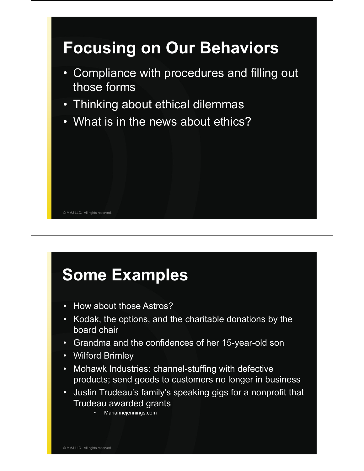

# **Some Examples**

- How about those Astros?
- Kodak, the options, and the charitable donations by the board chair
- Grandma and the confidences of her 15-year-old son
- Wilford Brimley
- Mohawk Industries: channel-stuffing with defective products; send goods to customers no longer in business
- Justin Trudeau's family's speaking gigs for a nonprofit that Trudeau awarded grants
	- Mariannejennings.com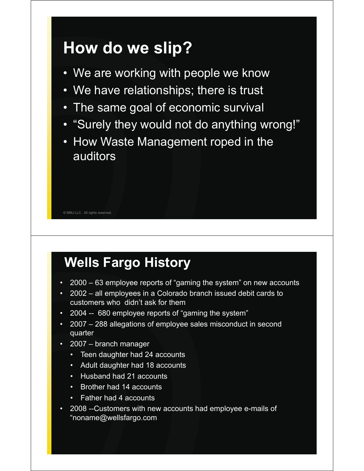## **How do we slip?**

- We are working with people we know
- We have relationships; there is trust
- The same goal of economic survival
- "Surely they would not do anything wrong!"
- How Waste Management roped in the auditors

### **Wells Fargo History**

- 2000 63 employee reports of "gaming the system" on new accounts
- 2002 all employees in a Colorado branch issued debit cards to customers who didn't ask for them
- 2004 -- 680 employee reports of "gaming the system"
- 2007 288 allegations of employee sales misconduct in second quarter
- 2007 branch manager

© MMJ LLC. All rights reserved.

- Teen daughter had 24 accounts
- Adult daughter had 18 accounts
- Husband had 21 accounts
- Brother had 14 accounts
- Father had 4 accounts
- 2008 --Customers with new accounts had employee e-mails of "noname@wellsfargo.com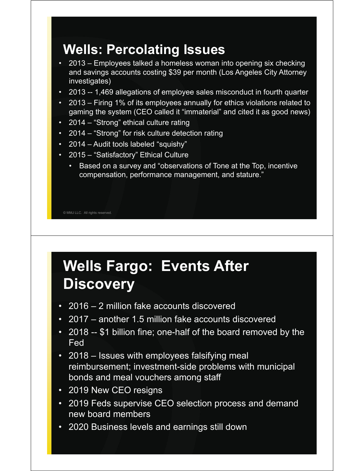#### **Wells: Percolating Issues**

- 2013 Employees talked a homeless woman into opening six checking and savings accounts costing \$39 per month (Los Angeles City Attorney investigates)
- 2013 -- 1,469 allegations of employee sales misconduct in fourth quarter
- 2013 Firing 1% of its employees annually for ethics violations related to gaming the system (CEO called it "immaterial" and cited it as good news)
- 2014 "Strong" ethical culture rating
- 2014 "Strong" for risk culture detection rating
- 2014 Audit tools labeled "squishy"
- 2015 "Satisfactory" Ethical Culture
	- Based on a survey and "observations of Tone at the Top, incentive compensation, performance management, and stature."

© MMJ LLC. All rights reserved.

### **Wells Fargo: Events After Discovery**

- 2016 2 million fake accounts discovered
- 2017 another 1.5 million fake accounts discovered
- 2018 -- \$1 billion fine; one-half of the board removed by the Fed
- 2018 Issues with employees falsifying meal reimbursement; investment-side problems with municipal bonds and meal vouchers among staff
- 2019 New CEO resigns
- 2019 Feds supervise CEO selection process and demand new board members
- 2020 Business levels and earnings still down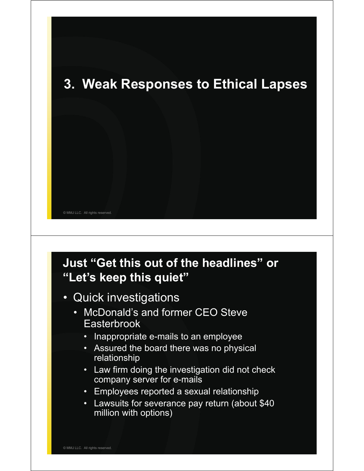

#### **Just "Get this out of the headlines" or "Let's keep this quiet"**

- Quick investigations
	- McDonald's and former CEO Steve **Easterbrook** 
		- Inappropriate e-mails to an employee
		- Assured the board there was no physical relationship
		- Law firm doing the investigation did not check company server for e-mails
		- Employees reported a sexual relationship
		- Lawsuits for severance pay return (about \$40 million with options)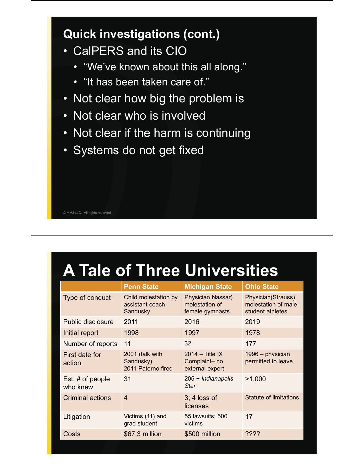#### **Quick investigations (cont.)**

- CalPERS and its CIO
	- "We've known about this all along."
	- "It has been taken care of."
- Not clear how big the problem is
- Not clear who is involved
- Not clear if the harm is continuing
- Systems do not get fixed

|  |  | © MMJ LLC. All rights reserved. |
|--|--|---------------------------------|
|  |  |                                 |

# **A Tale of Three Universities**

|                                | <b>Penn State</b>                                   | <b>Michigan State</b>                                  | <b>Ohio State</b>                                             |
|--------------------------------|-----------------------------------------------------|--------------------------------------------------------|---------------------------------------------------------------|
| Type of conduct                | Child molestation by<br>assistant coach<br>Sandusky | Physician Nassar)<br>molestation of<br>female gymnasts | Physician(Strauss)<br>molestation of male<br>student athletes |
| <b>Public disclosure</b>       | 2011                                                | 2016                                                   | 2019                                                          |
| Initial report                 | 1998                                                | 1997                                                   | 1978                                                          |
| Number of reports              | 11                                                  | 32                                                     | 177                                                           |
| First date for<br>action       | 2001 (talk with<br>Sandusky)<br>2011 Paterno fired  | $2014 -$ Title IX<br>Complaint-no<br>external expert   | 1996 - physician<br>permitted to leave                        |
| Est. $#$ of people<br>who knew | 31                                                  | 205 + Indianapolis<br><b>Star</b>                      | >1,000                                                        |
| <b>Criminal actions</b>        | $\boldsymbol{4}$                                    | $3:4$ loss of<br>licenses                              | Statute of limitations                                        |
| Litigation                     | Victims (11) and<br>grad student                    | 55 lawsuits; 500<br>victims                            | 17                                                            |
| Costs                          | \$67.3 million                                      | \$500 million                                          | ????                                                          |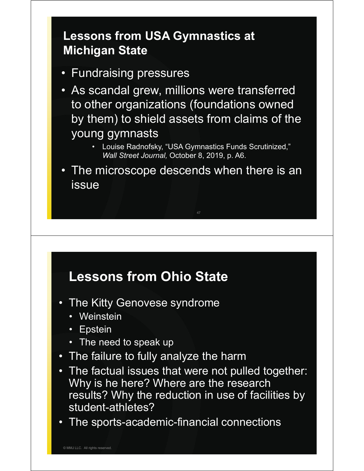#### **Lessons from USA Gymnastics at Michigan State**

- Fundraising pressures
- As scandal grew, millions were transferred to other organizations (foundations owned by them) to shield assets from claims of the young gymnasts
	- Louise Radnofsky, "USA Gymnastics Funds Scrutinized," *Wall Street Journal,* October 8, 2019, p. A6.
- The microscope descends when there is an issue

#### **Lessons from Ohio State**

- The Kitty Genovese syndrome
	- Weinstein
	- **Epstein**
	- The need to speak up
- The failure to fully analyze the harm
- The factual issues that were not pulled together: Why is he here? Where are the research results? Why the reduction in use of facilities by student-athletes?
- The sports-academic-financial connections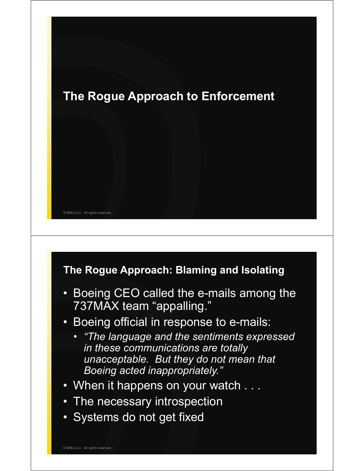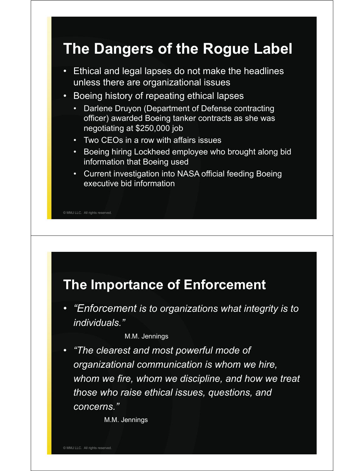### **The Dangers of the Rogue Label**

- Ethical and legal lapses do not make the headlines unless there are organizational issues
- Boeing history of repeating ethical lapses
	- Darlene Druyon (Department of Defense contracting officer) awarded Boeing tanker contracts as she was negotiating at \$250,000 job
	- Two CEOs in a row with affairs issues
	- Boeing hiring Lockheed employee who brought along bid information that Boeing used
	- Current investigation into NASA official feeding Boeing executive bid information

© MMJ LLC. All rights reserved.

#### **The Importance of Enforcement**

• *"Enforcement is to organizations what integrity is to individuals."*

M.M. Jennings

• *"The clearest and most powerful mode of organizational communication is whom we hire, whom we fire, whom we discipline, and how we treat those who raise ethical issues, questions, and concerns."* 

M.M. Jennings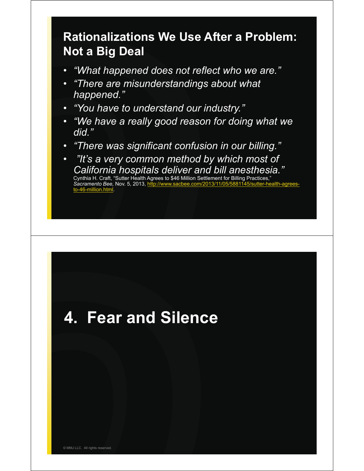#### **Rationalizations We Use After a Problem: Not a Big Deal**

- *"What happened does not reflect who we are."*
- *"There are misunderstandings about what happened."*
- *"You have to understand our industry."*
- *"We have a really good reason for doing what we did."*
- *"There was significant confusion in our billing."*
- *"It's a very common method by which most of California hospitals deliver and bill anesthesia."*  Cynthia H. Craft, "Sutter Health Agrees to \$46 Million Settlement for Billing Practices,"

*Sacramento Bee,* Nov. 5, 2013, http://www.sacbee.com/2013/11/05/5881145/sutter-health-agrees-6-million html

## **4. Fear and Silence**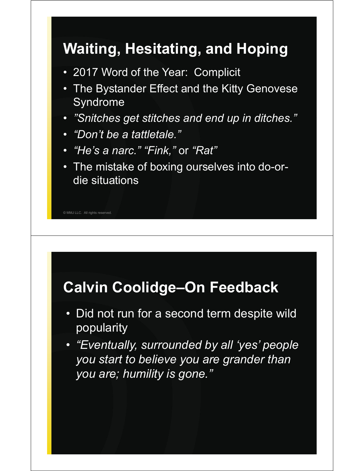## **Waiting, Hesitating, and Hoping**

- 2017 Word of the Year: Complicit
- The Bystander Effect and the Kitty Genovese Syndrome
- *"Snitches get stitches and end up in ditches."*
- *"Don't be a tattletale."*
- *"He's a narc." "Fink,"* or *"Rat"*
- The mistake of boxing ourselves into do-ordie situations

© MMJ LLC. All rights reserved.

### **Calvin Coolidge–On Feedback**

- Did not run for a second term despite wild popularity
- *"Eventually, surrounded by all 'yes' people you start to believe you are grander than you are; humility is gone."*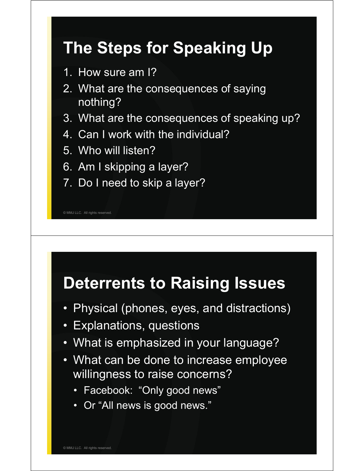# **The Steps for Speaking Up**

- 1. How sure am I?
- 2. What are the consequences of saying nothing?
- 3. What are the consequences of speaking up?
- 4. Can I work with the individual?
- 5. Who will listen?
- 6. Am I skipping a layer?
- 7. Do I need to skip a layer?

© MMJ LLC. All rights reserved.

## **Deterrents to Raising Issues**

- Physical (phones, eyes, and distractions)
- Explanations, questions
- What is emphasized in your language?
- What can be done to increase employee willingness to raise concerns?
	- Facebook: "Only good news"
	- Or "All news is good news."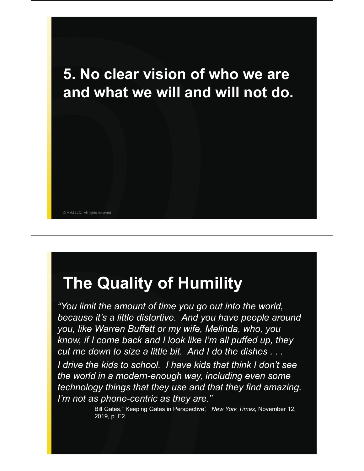

## **The Quality of Humility**

*"You limit the amount of time you go out into the world, because it's a little distortive. And you have people around you, like Warren Buffett or my wife, Melinda, who, you know, if I come back and I look like I'm all puffed up, they cut me down to size a little bit. And I do the dishes . . .*

*I drive the kids to school. I have kids that think I don't see the world in a modern-enough way, including even some technology things that they use and that they find amazing. I'm not as phone-centric as they are."*

> Bill Gates," Keeping Gates in Perspective", New York Times, November 12, 2019, p. F2.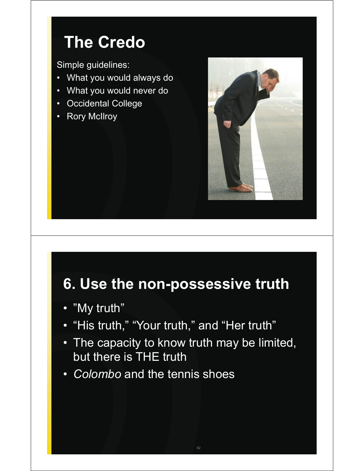## **The Credo**

Simple guidelines:

- What you would always do
- What you would never do
- Occidental College
- Rory McIlroy



### **6. Use the non-possessive truth**

- "My truth"
- "His truth," "Your truth," and "Her truth"
- The capacity to know truth may be limited, but there is THE truth

 $62$ 

• *Colombo* and the tennis shoes